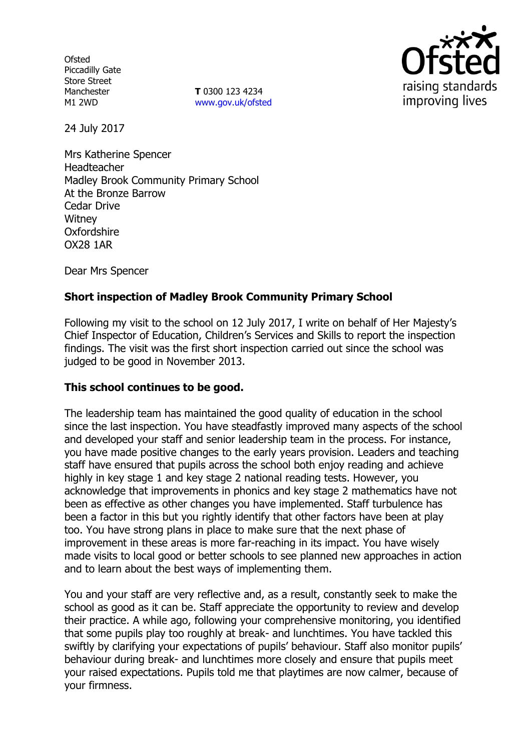**Ofsted** Piccadilly Gate Store Street Manchester M1 2WD

**T** 0300 123 4234 www.gov.uk/ofsted



24 July 2017

Mrs Katherine Spencer Headteacher Madley Brook Community Primary School At the Bronze Barrow Cedar Drive **Witney Oxfordshire** OX28 1AR

Dear Mrs Spencer

# **Short inspection of Madley Brook Community Primary School**

Following my visit to the school on 12 July 2017, I write on behalf of Her Majesty's Chief Inspector of Education, Children's Services and Skills to report the inspection findings. The visit was the first short inspection carried out since the school was judged to be good in November 2013.

### **This school continues to be good.**

The leadership team has maintained the good quality of education in the school since the last inspection. You have steadfastly improved many aspects of the school and developed your staff and senior leadership team in the process. For instance, you have made positive changes to the early years provision. Leaders and teaching staff have ensured that pupils across the school both enjoy reading and achieve highly in key stage 1 and key stage 2 national reading tests. However, you acknowledge that improvements in phonics and key stage 2 mathematics have not been as effective as other changes you have implemented. Staff turbulence has been a factor in this but you rightly identify that other factors have been at play too. You have strong plans in place to make sure that the next phase of improvement in these areas is more far-reaching in its impact. You have wisely made visits to local good or better schools to see planned new approaches in action and to learn about the best ways of implementing them.

You and your staff are very reflective and, as a result, constantly seek to make the school as good as it can be. Staff appreciate the opportunity to review and develop their practice. A while ago, following your comprehensive monitoring, you identified that some pupils play too roughly at break- and lunchtimes. You have tackled this swiftly by clarifying your expectations of pupils' behaviour. Staff also monitor pupils' behaviour during break- and lunchtimes more closely and ensure that pupils meet your raised expectations. Pupils told me that playtimes are now calmer, because of your firmness.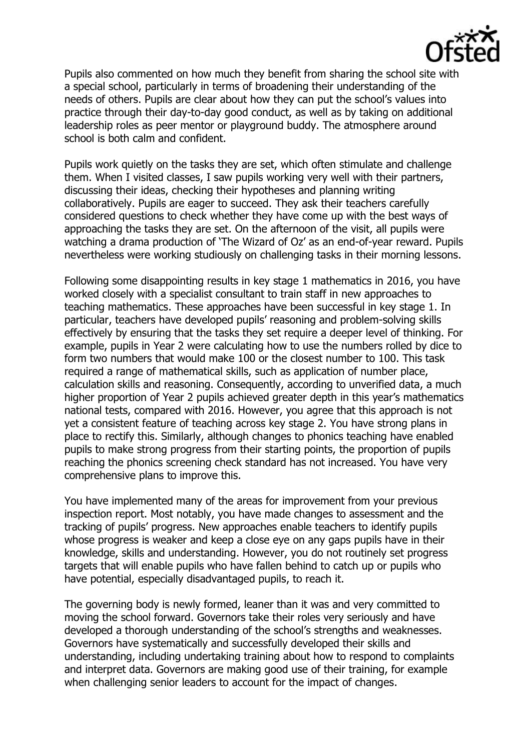

Pupils also commented on how much they benefit from sharing the school site with a special school, particularly in terms of broadening their understanding of the needs of others. Pupils are clear about how they can put the school's values into practice through their day-to-day good conduct, as well as by taking on additional leadership roles as peer mentor or playground buddy. The atmosphere around school is both calm and confident.

Pupils work quietly on the tasks they are set, which often stimulate and challenge them. When I visited classes, I saw pupils working very well with their partners, discussing their ideas, checking their hypotheses and planning writing collaboratively. Pupils are eager to succeed. They ask their teachers carefully considered questions to check whether they have come up with the best ways of approaching the tasks they are set. On the afternoon of the visit, all pupils were watching a drama production of 'The Wizard of Oz' as an end-of-year reward. Pupils nevertheless were working studiously on challenging tasks in their morning lessons.

Following some disappointing results in key stage 1 mathematics in 2016, you have worked closely with a specialist consultant to train staff in new approaches to teaching mathematics. These approaches have been successful in key stage 1. In particular, teachers have developed pupils' reasoning and problem-solving skills effectively by ensuring that the tasks they set require a deeper level of thinking. For example, pupils in Year 2 were calculating how to use the numbers rolled by dice to form two numbers that would make 100 or the closest number to 100. This task required a range of mathematical skills, such as application of number place, calculation skills and reasoning. Consequently, according to unverified data, a much higher proportion of Year 2 pupils achieved greater depth in this year's mathematics national tests, compared with 2016. However, you agree that this approach is not yet a consistent feature of teaching across key stage 2. You have strong plans in place to rectify this. Similarly, although changes to phonics teaching have enabled pupils to make strong progress from their starting points, the proportion of pupils reaching the phonics screening check standard has not increased. You have very comprehensive plans to improve this.

You have implemented many of the areas for improvement from your previous inspection report. Most notably, you have made changes to assessment and the tracking of pupils' progress. New approaches enable teachers to identify pupils whose progress is weaker and keep a close eye on any gaps pupils have in their knowledge, skills and understanding. However, you do not routinely set progress targets that will enable pupils who have fallen behind to catch up or pupils who have potential, especially disadvantaged pupils, to reach it.

The governing body is newly formed, leaner than it was and very committed to moving the school forward. Governors take their roles very seriously and have developed a thorough understanding of the school's strengths and weaknesses. Governors have systematically and successfully developed their skills and understanding, including undertaking training about how to respond to complaints and interpret data. Governors are making good use of their training, for example when challenging senior leaders to account for the impact of changes.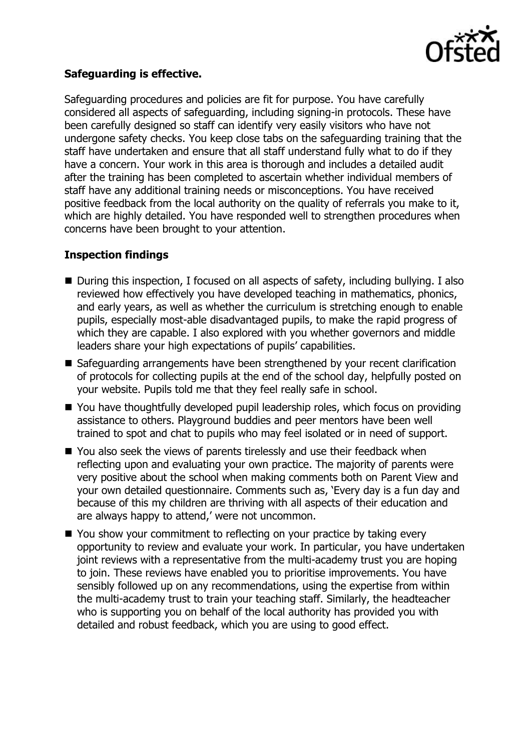

### **Safeguarding is effective.**

Safeguarding procedures and policies are fit for purpose. You have carefully considered all aspects of safeguarding, including signing-in protocols. These have been carefully designed so staff can identify very easily visitors who have not undergone safety checks. You keep close tabs on the safeguarding training that the staff have undertaken and ensure that all staff understand fully what to do if they have a concern. Your work in this area is thorough and includes a detailed audit after the training has been completed to ascertain whether individual members of staff have any additional training needs or misconceptions. You have received positive feedback from the local authority on the quality of referrals you make to it, which are highly detailed. You have responded well to strengthen procedures when concerns have been brought to your attention.

## **Inspection findings**

- During this inspection, I focused on all aspects of safety, including bullying. I also reviewed how effectively you have developed teaching in mathematics, phonics, and early years, as well as whether the curriculum is stretching enough to enable pupils, especially most-able disadvantaged pupils, to make the rapid progress of which they are capable. I also explored with you whether governors and middle leaders share your high expectations of pupils' capabilities.
- Safeguarding arrangements have been strengthened by your recent clarification of protocols for collecting pupils at the end of the school day, helpfully posted on your website. Pupils told me that they feel really safe in school.
- You have thoughtfully developed pupil leadership roles, which focus on providing assistance to others. Playground buddies and peer mentors have been well trained to spot and chat to pupils who may feel isolated or in need of support.
- You also seek the views of parents tirelessly and use their feedback when reflecting upon and evaluating your own practice. The majority of parents were very positive about the school when making comments both on Parent View and your own detailed questionnaire. Comments such as, 'Every day is a fun day and because of this my children are thriving with all aspects of their education and are always happy to attend,' were not uncommon.
- You show your commitment to reflecting on your practice by taking every opportunity to review and evaluate your work. In particular, you have undertaken joint reviews with a representative from the multi-academy trust you are hoping to join. These reviews have enabled you to prioritise improvements. You have sensibly followed up on any recommendations, using the expertise from within the multi-academy trust to train your teaching staff. Similarly, the headteacher who is supporting you on behalf of the local authority has provided you with detailed and robust feedback, which you are using to good effect.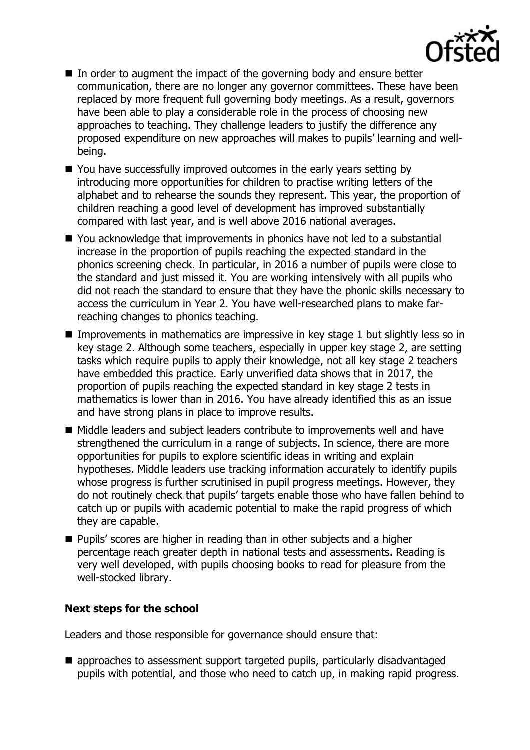

- $\blacksquare$  In order to augment the impact of the governing body and ensure better communication, there are no longer any governor committees. These have been replaced by more frequent full governing body meetings. As a result, governors have been able to play a considerable role in the process of choosing new approaches to teaching. They challenge leaders to justify the difference any proposed expenditure on new approaches will makes to pupils' learning and wellbeing.
- You have successfully improved outcomes in the early years setting by introducing more opportunities for children to practise writing letters of the alphabet and to rehearse the sounds they represent. This year, the proportion of children reaching a good level of development has improved substantially compared with last year, and is well above 2016 national averages.
- You acknowledge that improvements in phonics have not led to a substantial increase in the proportion of pupils reaching the expected standard in the phonics screening check. In particular, in 2016 a number of pupils were close to the standard and just missed it. You are working intensively with all pupils who did not reach the standard to ensure that they have the phonic skills necessary to access the curriculum in Year 2. You have well-researched plans to make farreaching changes to phonics teaching.
- Improvements in mathematics are impressive in key stage 1 but slightly less so in key stage 2. Although some teachers, especially in upper key stage 2, are setting tasks which require pupils to apply their knowledge, not all key stage 2 teachers have embedded this practice. Early unverified data shows that in 2017, the proportion of pupils reaching the expected standard in key stage 2 tests in mathematics is lower than in 2016. You have already identified this as an issue and have strong plans in place to improve results.
- Middle leaders and subject leaders contribute to improvements well and have strengthened the curriculum in a range of subjects. In science, there are more opportunities for pupils to explore scientific ideas in writing and explain hypotheses. Middle leaders use tracking information accurately to identify pupils whose progress is further scrutinised in pupil progress meetings. However, they do not routinely check that pupils' targets enable those who have fallen behind to catch up or pupils with academic potential to make the rapid progress of which they are capable.
- **Pupils'** scores are higher in reading than in other subjects and a higher percentage reach greater depth in national tests and assessments. Reading is very well developed, with pupils choosing books to read for pleasure from the well-stocked library.

### **Next steps for the school**

Leaders and those responsible for governance should ensure that:

 $\blacksquare$  approaches to assessment support targeted pupils, particularly disadvantaged pupils with potential, and those who need to catch up, in making rapid progress.